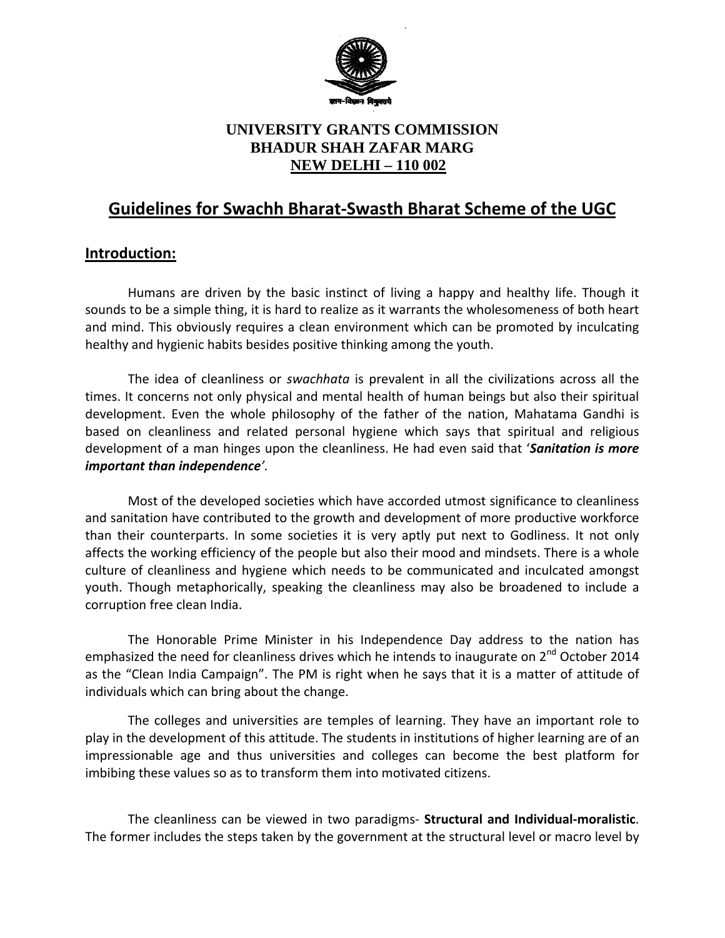

# **UNIVERSITY GRANTS COMMISSION BHADUR SHAH ZAFAR MARG NEW DELHI – 110 002**

# **Guidelines for Swachh Bharat-Swasth Bharat Scheme of the UGC**

# **Introduction:**

Humans are driven by the basic instinct of living a happy and healthy life. Though it sounds to be a simple thing, it is hard to realize as it warrants the wholesomeness of both heart and mind. This obviously requires a clean environment which can be promoted by inculcating healthy and hygienic habits besides positive thinking among the youth.

The idea of cleanliness or *swachhata* is prevalent in all the civilizations across all the times. It concerns not only physical and mental health of human beings but also their spiritual development. Even the whole philosophy of the father of the nation, Mahatama Gandhi is based on cleanliness and related personal hygiene which says that spiritual and religious development of a man hinges upon the cleanliness. He had even said that '*Sanitation is more important than independence'.* 

Most of the developed societies which have accorded utmost significance to cleanliness and sanitation have contributed to the growth and development of more productive workforce than their counterparts. In some societies it is very aptly put next to Godliness. It not only affects the working efficiency of the people but also their mood and mindsets. There is a whole culture of cleanliness and hygiene which needs to be communicated and inculcated amongst youth. Though metaphorically, speaking the cleanliness may also be broadened to include a corruption free clean India.

The Honorable Prime Minister in his Independence Day address to the nation has emphasized the need for cleanliness drives which he intends to inaugurate on 2<sup>nd</sup> October 2014 as the "Clean India Campaign". The PM is right when he says that it is a matter of attitude of individuals which can bring about the change.

The colleges and universities are temples of learning. They have an important role to play in the development of this attitude. The students in institutions of higher learning are of an impressionable age and thus universities and colleges can become the best platform for imbibing these values so as to transform them into motivated citizens.

The cleanliness can be viewed in two paradigms- **Structural and Individual-moralistic**. The former includes the steps taken by the government at the structural level or macro level by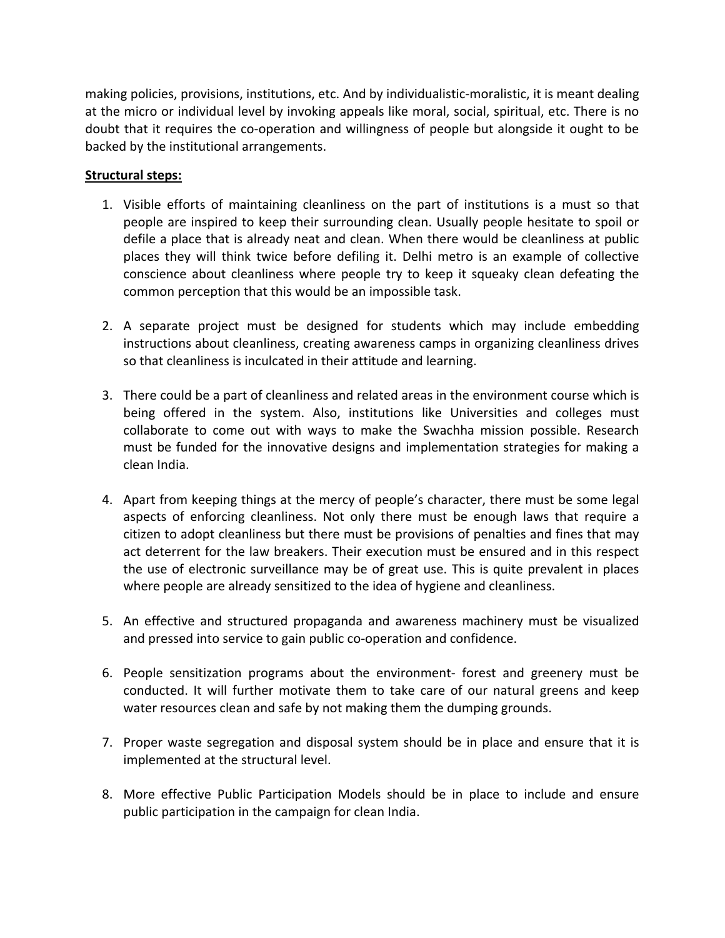making policies, provisions, institutions, etc. And by individualistic-moralistic, it is meant dealing at the micro or individual level by invoking appeals like moral, social, spiritual, etc. There is no doubt that it requires the co-operation and willingness of people but alongside it ought to be backed by the institutional arrangements.

### **Structural steps:**

- 1. Visible efforts of maintaining cleanliness on the part of institutions is a must so that people are inspired to keep their surrounding clean. Usually people hesitate to spoil or defile a place that is already neat and clean. When there would be cleanliness at public places they will think twice before defiling it. Delhi metro is an example of collective conscience about cleanliness where people try to keep it squeaky clean defeating the common perception that this would be an impossible task.
- 2. A separate project must be designed for students which may include embedding instructions about cleanliness, creating awareness camps in organizing cleanliness drives so that cleanliness is inculcated in their attitude and learning.
- 3. There could be a part of cleanliness and related areas in the environment course which is being offered in the system. Also, institutions like Universities and colleges must collaborate to come out with ways to make the Swachha mission possible. Research must be funded for the innovative designs and implementation strategies for making a clean India.
- 4. Apart from keeping things at the mercy of people's character, there must be some legal aspects of enforcing cleanliness. Not only there must be enough laws that require a citizen to adopt cleanliness but there must be provisions of penalties and fines that may act deterrent for the law breakers. Their execution must be ensured and in this respect the use of electronic surveillance may be of great use. This is quite prevalent in places where people are already sensitized to the idea of hygiene and cleanliness.
- 5. An effective and structured propaganda and awareness machinery must be visualized and pressed into service to gain public co-operation and confidence.
- 6. People sensitization programs about the environment- forest and greenery must be conducted. It will further motivate them to take care of our natural greens and keep water resources clean and safe by not making them the dumping grounds.
- 7. Proper waste segregation and disposal system should be in place and ensure that it is implemented at the structural level.
- 8. More effective Public Participation Models should be in place to include and ensure public participation in the campaign for clean India.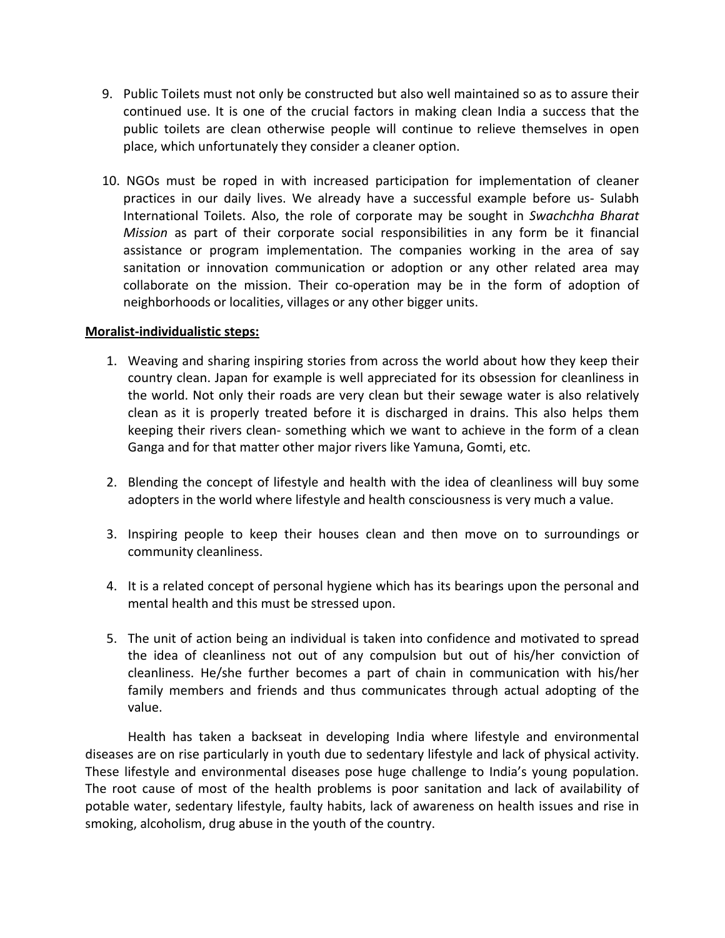- 9. Public Toilets must not only be constructed but also well maintained so as to assure their continued use. It is one of the crucial factors in making clean India a success that the public toilets are clean otherwise people will continue to relieve themselves in open place, which unfortunately they consider a cleaner option.
- 10. NGOs must be roped in with increased participation for implementation of cleaner practices in our daily lives. We already have a successful example before us- Sulabh International Toilets. Also, the role of corporate may be sought in *Swachchha Bharat Mission* as part of their corporate social responsibilities in any form be it financial assistance or program implementation. The companies working in the area of say sanitation or innovation communication or adoption or any other related area may collaborate on the mission. Their co-operation may be in the form of adoption of neighborhoods or localities, villages or any other bigger units.

#### **Moralist-individualistic steps:**

- 1. Weaving and sharing inspiring stories from across the world about how they keep their country clean. Japan for example is well appreciated for its obsession for cleanliness in the world. Not only their roads are very clean but their sewage water is also relatively clean as it is properly treated before it is discharged in drains. This also helps them keeping their rivers clean- something which we want to achieve in the form of a clean Ganga and for that matter other major rivers like Yamuna, Gomti, etc.
- 2. Blending the concept of lifestyle and health with the idea of cleanliness will buy some adopters in the world where lifestyle and health consciousness is very much a value.
- 3. Inspiring people to keep their houses clean and then move on to surroundings or community cleanliness.
- 4. It is a related concept of personal hygiene which has its bearings upon the personal and mental health and this must be stressed upon.
- 5. The unit of action being an individual is taken into confidence and motivated to spread the idea of cleanliness not out of any compulsion but out of his/her conviction of cleanliness. He/she further becomes a part of chain in communication with his/her family members and friends and thus communicates through actual adopting of the value.

Health has taken a backseat in developing India where lifestyle and environmental diseases are on rise particularly in youth due to sedentary lifestyle and lack of physical activity. These lifestyle and environmental diseases pose huge challenge to India's young population. The root cause of most of the health problems is poor sanitation and lack of availability of potable water, sedentary lifestyle, faulty habits, lack of awareness on health issues and rise in smoking, alcoholism, drug abuse in the youth of the country.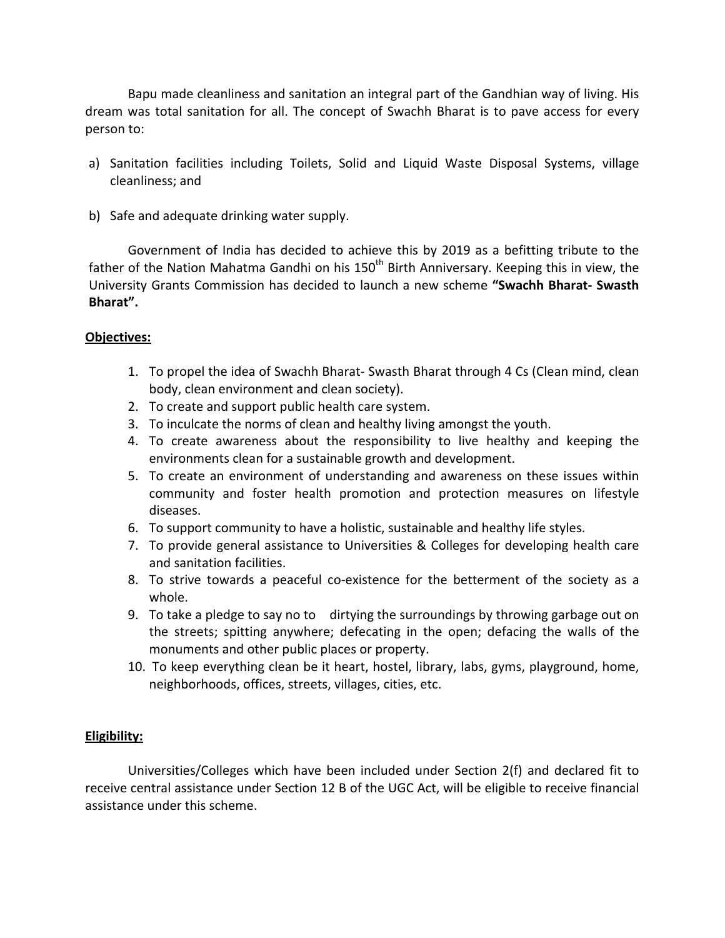Bapu made cleanliness and sanitation an integral part of the Gandhian way of living. His dream was total sanitation for all. The concept of Swachh Bharat is to pave access for every person to:

- a) Sanitation facilities including Toilets, Solid and Liquid Waste Disposal Systems, village cleanliness; and
- b) Safe and adequate drinking water supply.

Government of India has decided to achieve this by 2019 as a befitting tribute to the father of the Nation Mahatma Gandhi on his  $150<sup>th</sup>$  Birth Anniversary. Keeping this in view, the University Grants Commission has decided to launch a new scheme **"Swachh Bharat- Swasth Bharat".**

#### **Objectives:**

- 1. To propel the idea of Swachh Bharat- Swasth Bharat through 4 Cs (Clean mind, clean body, clean environment and clean society).
- 2. To create and support public health care system.
- 3. To inculcate the norms of clean and healthy living amongst the youth.
- 4. To create awareness about the responsibility to live healthy and keeping the environments clean for a sustainable growth and development.
- 5. To create an environment of understanding and awareness on these issues within community and foster health promotion and protection measures on lifestyle diseases.
- 6. To support community to have a holistic, sustainable and healthy life styles.
- 7. To provide general assistance to Universities & Colleges for developing health care and sanitation facilities.
- 8. To strive towards a peaceful co-existence for the betterment of the society as a whole.
- 9. To take a pledge to say no to dirtying the surroundings by throwing garbage out on the streets; spitting anywhere; defecating in the open; defacing the walls of the monuments and other public places or property.
- 10. To keep everything clean be it heart, hostel, library, labs, gyms, playground, home, neighborhoods, offices, streets, villages, cities, etc.

#### **Eligibility:**

Universities/Colleges which have been included under Section 2(f) and declared fit to receive central assistance under Section 12 B of the UGC Act, will be eligible to receive financial assistance under this scheme.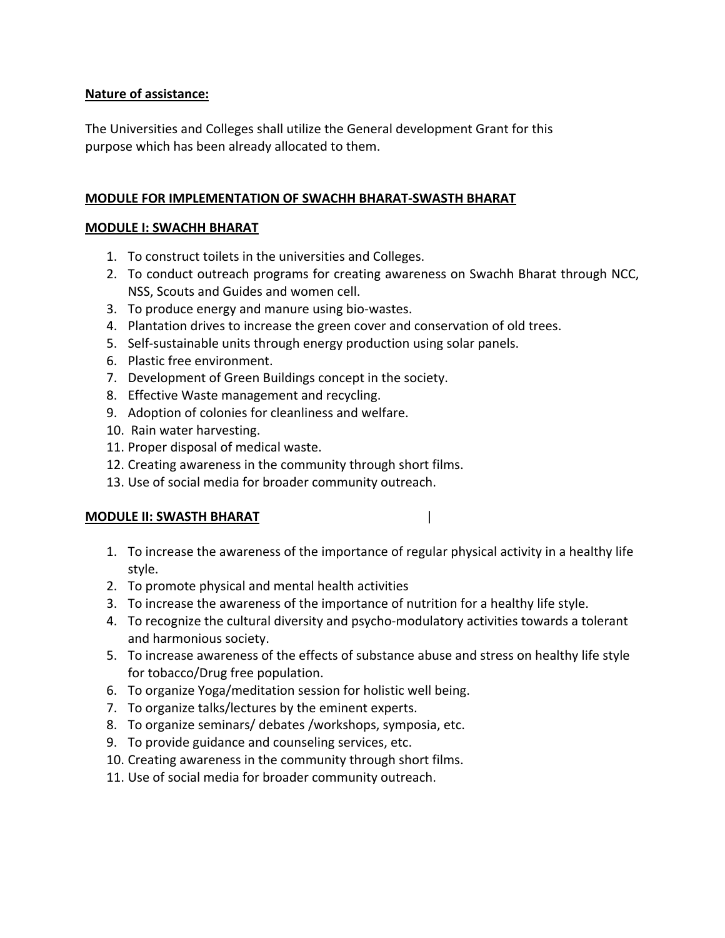## **Nature of assistance:**

The Universities and Colleges shall utilize the General development Grant for this purpose which has been already allocated to them.

#### **MODULE FOR IMPLEMENTATION OF SWACHH BHARAT-SWASTH BHARAT**

#### **MODULE I: SWACHH BHARAT**

- 1. To construct toilets in the universities and Colleges.
- 2. To conduct outreach programs for creating awareness on Swachh Bharat through NCC, NSS, Scouts and Guides and women cell.
- 3. To produce energy and manure using bio-wastes.
- 4. Plantation drives to increase the green cover and conservation of old trees.
- 5. Self-sustainable units through energy production using solar panels.
- 6. Plastic free environment.
- 7. Development of Green Buildings concept in the society.
- 8. Effective Waste management and recycling.
- 9. Adoption of colonies for cleanliness and welfare.
- 10. Rain water harvesting.
- 11. Proper disposal of medical waste.
- 12. Creating awareness in the community through short films.
- 13. Use of social media for broader community outreach.

#### **MODULE II: SWASTH BHARAT** |

- 1. To increase the awareness of the importance of regular physical activity in a healthy life style.
- 2. To promote physical and mental health activities
- 3. To increase the awareness of the importance of nutrition for a healthy life style.
- 4. To recognize the cultural diversity and psycho-modulatory activities towards a tolerant and harmonious society.
- 5. To increase awareness of the effects of substance abuse and stress on healthy life style for tobacco/Drug free population.
- 6. To organize Yoga/meditation session for holistic well being.
- 7. To organize talks/lectures by the eminent experts.
- 8. To organize seminars/ debates /workshops, symposia, etc.
- 9. To provide guidance and counseling services, etc.
- 10. Creating awareness in the community through short films.
- 11. Use of social media for broader community outreach.